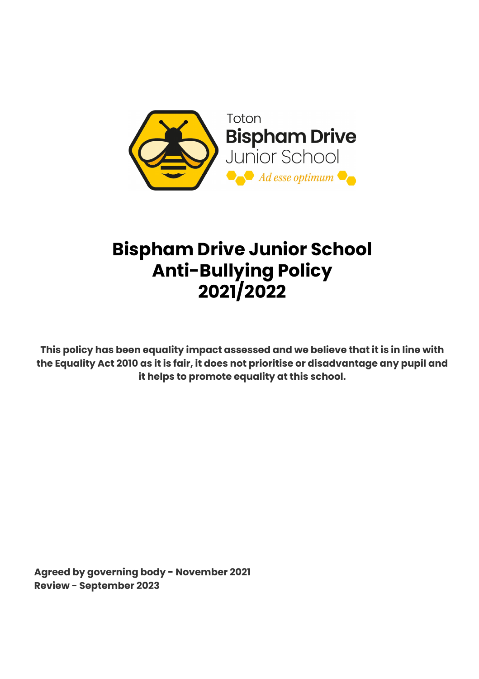

# **Bispham Drive Junior School Anti-Bullying Policy 2021/2022**

**This policy has been equality impact assessed and we believe that it is in line with the Equality Act 2010 as it is fair, it does not prioritise or disadvantage any pupil and it helps to promote equality at this school.**

**Agreed by governing body - November 2021 Review - September 2023**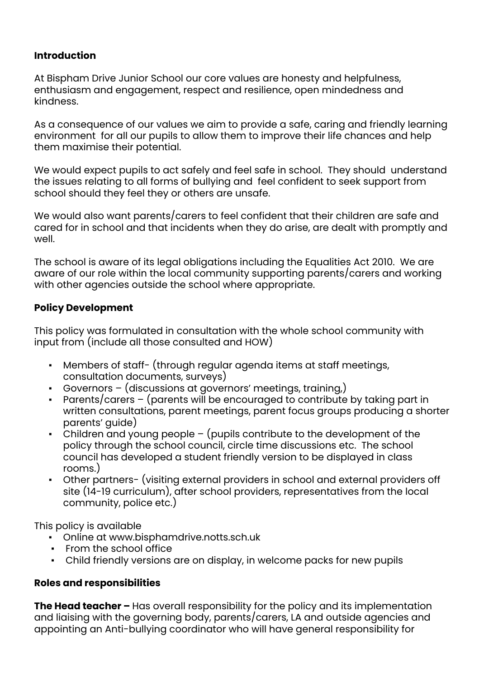#### **Introduction**

At Bispham Drive Junior School our core values are honesty and helpfulness, enthusiasm and engagement, respect and resilience, open mindedness and kindness.

As a consequence of our values we aim to provide a safe, caring and friendly learning environment for all our pupils to allow them to improve their life chances and help them maximise their potential.

We would expect pupils to act safely and feel safe in school. They should understand the issues relating to all forms of bullying and feel confident to seek support from school should they feel they or others are unsafe.

We would also want parents/carers to feel confident that their children are safe and cared for in school and that incidents when they do arise, are dealt with promptly and well.

The school is aware of its legal obligations including the Equalities Act 2010. We are aware of our role within the local community supporting parents/carers and working with other agencies outside the school where appropriate.

#### **Policy Development**

This policy was formulated in consultation with the whole school community with input from (include all those consulted and HOW)

- Members of staff- (through regular agenda items at staff meetings, consultation documents, surveys)
- Governors (discussions at governors' meetings, training,)
- Parents/carers (parents will be encouraged to contribute by taking part in written consultations, parent meetings, parent focus groups producing a shorter parents' guide)
- Children and young people  $-$  (pupils contribute to the development of the policy through the school council, circle time discussions etc. The school council has developed a student friendly version to be displayed in class rooms.)
- Other partners- (visiting external providers in school and external providers off site (14-19 curriculum), after school providers, representatives from the local community, police etc.)

This policy is available

- Online at www.bisphamdrive.notts.sch.uk
- From the school office
- Child friendly versions are on display, in welcome packs for new pupils

#### **Roles and responsibilities**

**The Head teacher –** Has overall responsibility for the policy and its implementation and liaising with the governing body, parents/carers, LA and outside agencies and appointing an Anti-bullying coordinator who will have general responsibility for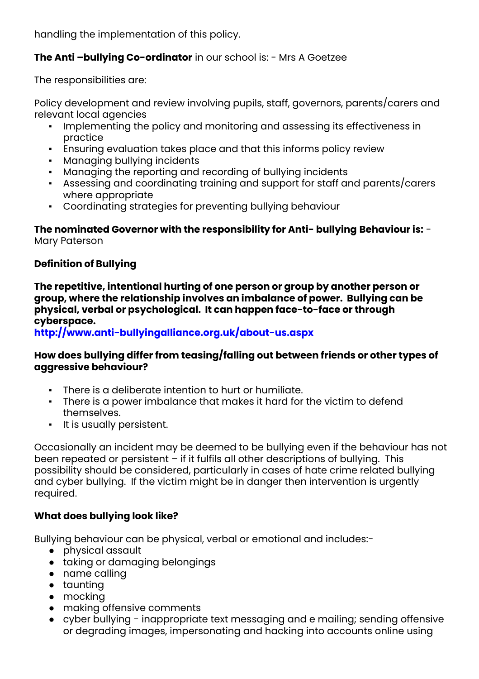handling the implementation of this policy.

#### **The Anti –bullying Co-ordinator** in our school is: - Mrs A Goetzee

The responsibilities are:

Policy development and review involving pupils, staff, governors, parents/carers and relevant local agencies

- Implementing the policy and monitoring and assessing its effectiveness in practice
- **Ensuring evaluation takes place and that this informs policy review**
- Managing bullying incidents
- Managing the reporting and recording of bullying incidents
- Assessing and coordinating training and support for staff and parents/carers where appropriate
- Coordinating strategies for preventing bullying behaviour

**The nominated Governor with the responsibility for Anti- bullying Behaviour is:** - Mary Paterson

#### **Definition of Bullying**

**The repetitive, intentional hurting of one person or group by another person or group, where the relationship involves an imbalance of power. Bullying can be physical, verbal or psychological. It can happen face-to-face or through cyberspace.**

**<http://www.anti-bullyingalliance.org.uk/about-us.aspx>**

#### **How does bullying differ from teasing/falling out between friends or other types of aggressive behaviour?**

- There is a deliberate intention to hurt or humiliate.
- There is a power imbalance that makes it hard for the victim to defend themselves.
- It is usually persistent.

Occasionally an incident may be deemed to be bullying even if the behaviour has not been repeated or persistent – if it fulfils all other descriptions of bullying. This possibility should be considered, particularly in cases of hate crime related bullying and cyber bullying. If the victim might be in danger then intervention is urgently required.

#### **What does bullying look like?**

Bullying behaviour can be physical, verbal or emotional and includes:-

- physical assault
- taking or damaging belongings
- name calling
- taunting
- mocking
- making offensive comments
- cyber bullying inappropriate text messaging and e mailing; sending offensive or degrading images, impersonating and hacking into accounts online using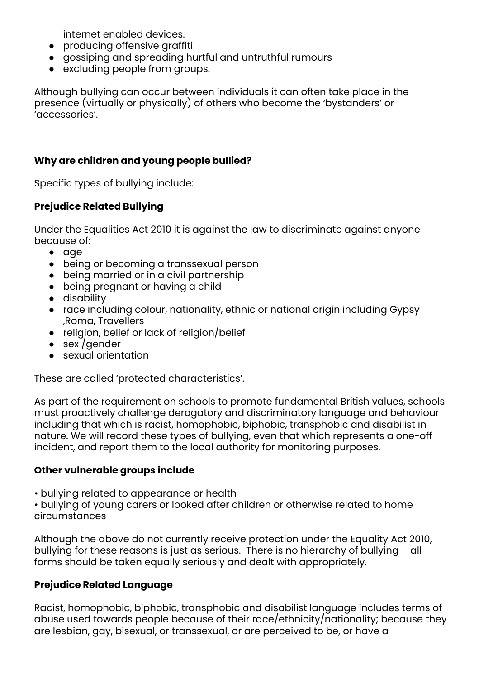internet enabled devices.

- producing offensive graffiti
- gossiping and spreading hurtful and untruthful rumours
- excluding people from groups.

Although bullying can occur between individuals it can often take place in the presence (virtually or physically) of others who become the 'bystanders' or 'accessories'.

#### **Why are children and young people bullied?**

Specific types of bullying include:

#### **Prejudice Related Bullying**

Under the Equalities Act 2010 it is against the law to discriminate against anyone because of:

- age
- being or becoming a transsexual person
- being married or in a civil partnership
- being pregnant or having a child
- disability
- race including colour, nationality, ethnic or national origin including Gypsy ,Roma, Travellers
- religion, belief or lack of religion/belief
- sex / gender
- sexual orientation

These are called 'protected characteristics'.

As part of the requirement on schools to promote fundamental British values, schools must proactively challenge derogatory and discriminatory language and behaviour including that which is racist, homophobic, biphobic, transphobic and disabilist in nature. We will record these types of bullying, even that which represents a one-off incident, and report them to the local authority for monitoring purposes.

#### **Other vulnerable groups include**

• bullying related to appearance or health

• bullying of young carers or looked after children or otherwise related to home circumstances

Although the above do not currently receive protection under the Equality Act 2010, bullying for these reasons is just as serious. There is no hierarchy of bullying – all forms should be taken equally seriously and dealt with appropriately.

#### **Prejudice Related Language**

Racist, homophobic, biphobic, transphobic and disabilist language includes terms of abuse used towards people because of their race/ethnicity/nationality; because they are lesbian, gay, bisexual, or transsexual, or are perceived to be, or have a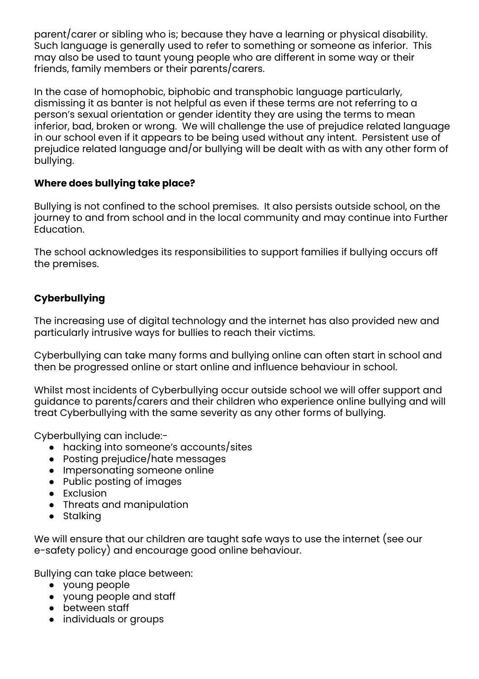parent/carer or sibling who is; because they have a learning or physical disability. Such language is generally used to refer to something or someone as inferior. This may also be used to taunt young people who are different in some way or their friends, family members or their parents/carers.

In the case of homophobic, biphobic and transphobic language particularly, dismissing it as banter is not helpful as even if these terms are not referring to a person's sexual orientation or gender identity they are using the terms to mean inferior, bad, broken or wrong. We will challenge the use of prejudice related language in our school even if it appears to be being used without any intent. Persistent use of prejudice related language and/or bullying will be dealt with as with any other form of bullying.

#### **Where does bullying take place?**

Bullying is not confined to the school premises. It also persists outside school, on the journey to and from school and in the local community and may continue into Further Education.

The school acknowledges its responsibilities to support families if bullying occurs off the premises.

### **Cyberbullying**

The increasing use of digital technology and the internet has also provided new and particularly intrusive ways for bullies to reach their victims.

Cyberbullying can take many forms and bullying online can often start in school and then be progressed online or start online and influence behaviour in school.

Whilst most incidents of Cyberbullying occur outside school we will offer support and guidance to parents/carers and their children who experience online bullying and will treat Cyberbullying with the same severity as any other forms of bullying.

Cyberbullying can include:-

- hacking into someone's accounts/sites
- Posting prejudice/hate messages
- Impersonating someone online
- Public posting of images
- Exclusion
- Threats and manipulation
- Stalking

We will ensure that our children are taught safe ways to use the internet (see our e-safety policy) and encourage good online behaviour.

Bullying can take place between:

- young people
- young people and staff
- between staff
- individuals or groups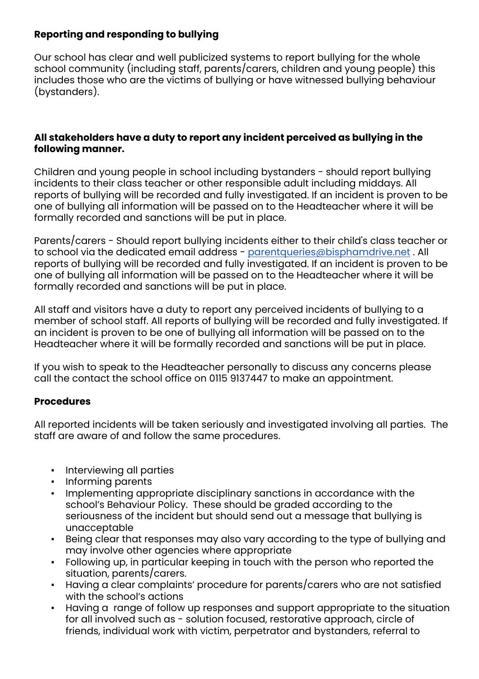#### **Reporting and responding to bullying**

Our school has clear and well publicized systems to report bullying for the whole school community (including staff, parents/carers, children and young people) this includes those who are the victims of bullying or have witnessed bullying behaviour (bystanders).

#### **All stakeholders have a duty to report any incident perceived as bullying in the following manner.**

Children and young people in school including bystanders - should report bullying incidents to their class teacher or other responsible adult including middays. All reports of bullying will be recorded and fully investigated. If an incident is proven to be one of bullying all information will be passed on to the Headteacher where it will be formally recorded and sanctions will be put in place.

Parents/carers - Should report bullying incidents either to their child's class teacher or to school via the dedicated email address - [parentqueries@bisphamdrive.net](mailto:parentqueries@bisphamdrive.net). All reports of bullying will be recorded and fully investigated. If an incident is proven to be one of bullying all information will be passed on to the Headteacher where it will be formally recorded and sanctions will be put in place.

All staff and visitors have a duty to report any perceived incidents of bullying to a member of school staff. All reports of bullying will be recorded and fully investigated. If an incident is proven to be one of bullying all information will be passed on to the Headteacher where it will be formally recorded and sanctions will be put in place.

If you wish to speak to the Headteacher personally to discuss any concerns please call the contact the school office on 0115 9137447 to make an appointment.

#### **Procedures**

All reported incidents will be taken seriously and investigated involving all parties. The staff are aware of and follow the same procedures.

- Interviewing all parties
- Informing parents
- Implementing appropriate disciplinary sanctions in accordance with the school's Behaviour Policy. These should be graded according to the seriousness of the incident but should send out a message that bullying is unacceptable
- Being clear that responses may also vary according to the type of bullying and may involve other agencies where appropriate
- Following up, in particular keeping in touch with the person who reported the situation, parents/carers.
- Having a clear complaints' procedure for parents/carers who are not satisfied with the school's actions
- Having a range of follow up responses and support appropriate to the situation for all involved such as - solution focused, restorative approach, circle of friends, individual work with victim, perpetrator and bystanders, referral to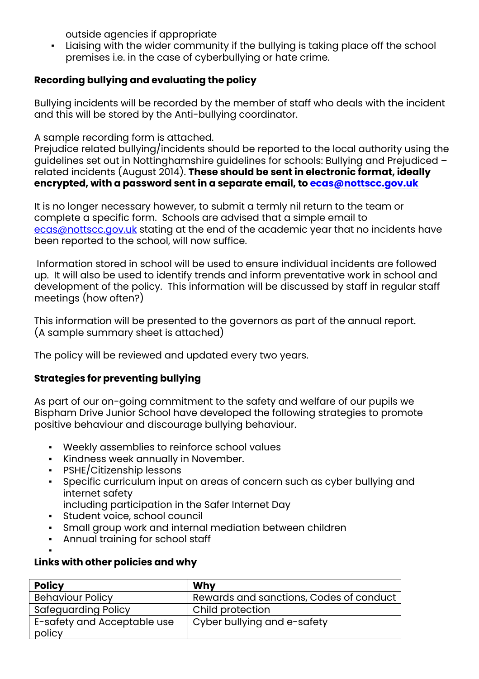outside agencies if appropriate

▪ Liaising with the wider community if the bullying is taking place off the school premises i.e. in the case of cyberbullying or hate crime.

## **Recording bullying and evaluating the policy**

Bullying incidents will be recorded by the member of staff who deals with the incident and this will be stored by the Anti-bullying coordinator.

A sample recording form is attached.

Prejudice related bullying/incidents should be reported to the local authority using the guidelines set out in Nottinghamshire guidelines for schools: Bullying and Prejudiced – related incidents (August 2014). **These should be sent in electronic format, ideally encrypted, with a password sent in a separate email, to [ecas@nottscc.gov.uk](mailto:ecas@nottscc.gov.uk)**

It is no longer necessary however, to submit a termly nil return to the team or complete a specific form. Schools are advised that a simple email to [ecas@nottscc.gov.uk](mailto:ecas@nottscc.gov.uk) stating at the end of the academic year that no incidents have been reported to the school, will now suffice.

Information stored in school will be used to ensure individual incidents are followed up. It will also be used to identify trends and inform preventative work in school and development of the policy. This information will be discussed by staff in regular staff meetings (how often?)

This information will be presented to the governors as part of the annual report. (A sample summary sheet is attached)

The policy will be reviewed and updated every two years.

### **Strategies for preventing bullying**

As part of our on-going commitment to the safety and welfare of our pupils we Bispham Drive Junior School have developed the following strategies to promote positive behaviour and discourage bullying behaviour.

- Weekly assemblies to reinforce school values
- Kindness week annually in November.
- PSHE/Citizenship lessons
- Specific curriculum input on areas of concern such as cyber bullying and internet safety
	- including participation in the Safer Internet Day
- Student voice, school council
- Small group work and internal mediation between children
- Annual training for school staff

#### ▪ **Links with other policies and why**

| <b>Policy</b>               | Why                                     |
|-----------------------------|-----------------------------------------|
| <b>Behaviour Policy</b>     | Rewards and sanctions, Codes of conduct |
| Safequarding Policy         | Child protection                        |
| E-safety and Acceptable use | Cyber bullying and e-safety             |
| policy                      |                                         |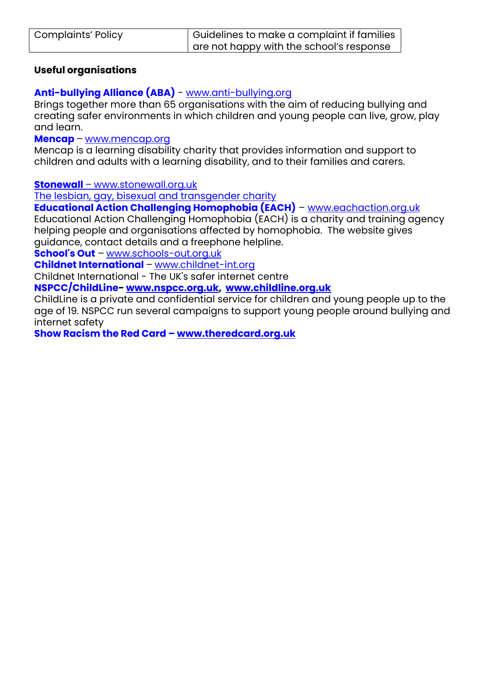| <b>Complaints' Policy</b> | $\mid$ Guidelines to make a complaint if families |
|---------------------------|---------------------------------------------------|
|                           | are not happy with the school's response          |

#### **Useful organisations**

### **Anti-bullying Alliance (ABA)** - [www.anti-bullying.org](http://www.anti-bullying.org/)

Brings together more than 65 organisations with the aim of reducing bullying and creating safer environments in which children and young people can live, grow, play and learn.

**[Mencap](http://www.mencap.org.uk/)** – [www.mencap.org](http://www.mencap.org/)

Mencap is a learning disability charity that provides information and support to children and adults with a learning disability, and to their families and carers.

**Stonewall** – www.stonewall.org.uk

The lesbian, gay, bisexual and transgender charity

**Educational Action Challenging Homophobia (EACH)** – www.eachaction.org.uk Educational Action Challenging Homophobia (EACH) is a charity and training agency helping people and organisations affected by homophobia. The website gives guidance, contact details and a freephone helpline.

**[School's](http://www.schools-out.org.uk/) Out** – [www.schools-out.org.uk](http://www.schools-out.org.uk/)

**Childnet [International](http://childnet-int.org/)** – [www.childnet-int.org](http://www.childnet-int.org/)

Childnet International - The UK's safer internet centre

**NSPCC/ChildLine- [www.nspcc.org.uk,](http://www.nspcc.org.uk/) [www.childline.org.uk](http://www.childline.org.uk/)**

ChildLine is a private and confidential service for children and young people up to the age of 19. NSPCC run several campaigns to support young people around bullying and internet safety

**Show Racism the Red Card – [www.theredcard.org.uk](http://www.theredcard.org.uk/)**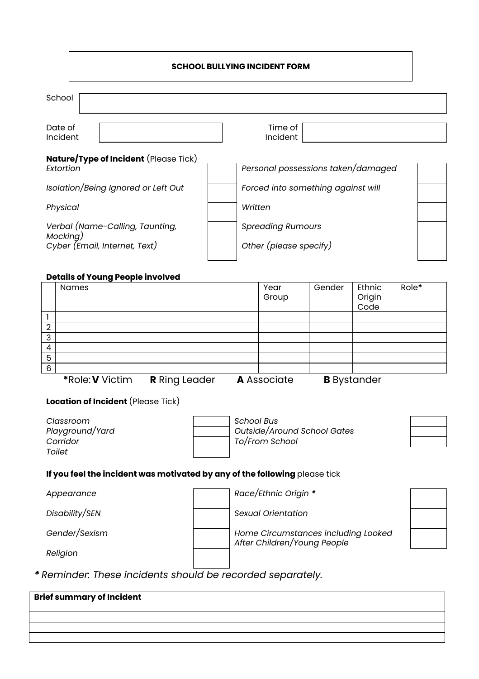| School                                                                       |                                                    |  |
|------------------------------------------------------------------------------|----------------------------------------------------|--|
| Date of<br>Incident                                                          | Time of<br>Incident                                |  |
| <b>Nature/Type of Incident</b> (Please Tick)<br>Extortion                    | Personal possessions taken/damaged                 |  |
| Isolation/Being Ignored or Left Out                                          | Forced into something against will                 |  |
| Physical                                                                     | Written                                            |  |
| Verbal (Name-Calling, Taunting,<br>Mocking)<br>Cyber (Email, Internet, Text) | <b>Spreading Rumours</b><br>Other (please specify) |  |

#### **Details of Young People involved**

|                | <b>Names</b>                                                                                                                                                                                                                             | Year           | Gender | Ethnic         | Role* |
|----------------|------------------------------------------------------------------------------------------------------------------------------------------------------------------------------------------------------------------------------------------|----------------|--------|----------------|-------|
|                |                                                                                                                                                                                                                                          | Group          |        | Origin         |       |
|                |                                                                                                                                                                                                                                          |                |        | Code           |       |
|                |                                                                                                                                                                                                                                          |                |        |                |       |
| $\overline{2}$ |                                                                                                                                                                                                                                          |                |        |                |       |
| 3              |                                                                                                                                                                                                                                          |                |        |                |       |
| 4              |                                                                                                                                                                                                                                          |                |        |                |       |
| 5              |                                                                                                                                                                                                                                          |                |        |                |       |
| 6              |                                                                                                                                                                                                                                          |                |        |                |       |
|                | $\mathbf{A}$ in the set of $\mathbf{A}$ is the set of $\mathbf{A}$<br>$\mathbf{m}$ , $\mathbf{m}$ , $\mathbf{m}$ , $\mathbf{m}$ , $\mathbf{m}$ , $\mathbf{m}$ , $\mathbf{m}$ , $\mathbf{m}$ , $\mathbf{m}$ , $\mathbf{m}$ , $\mathbf{m}$ | $\blacksquare$ |        | $\blacksquare$ |       |

#### **Location of Incident** (Please Tick)

| Classroom       |  |
|-----------------|--|
| Playground/Yard |  |
| Corridor        |  |
| Toilet          |  |
|                 |  |

*Classroom School Bus Playground/Yard Outside/Around School Gates Corridor To/From School*

#### **If you feel the incident was motivated by any of the following** please tick

*Religion*

*Appearance Race/Ethnic Origin \**

*Disability/SEN Sexual Orientation*

*Gender/Sexism Home Circumstances including Looked After Children/Young People*

*\* Reminder: These incidents should be recorded separately.*

| <b>Brief summary of Incident</b> |  |
|----------------------------------|--|
|                                  |  |
|                                  |  |
|                                  |  |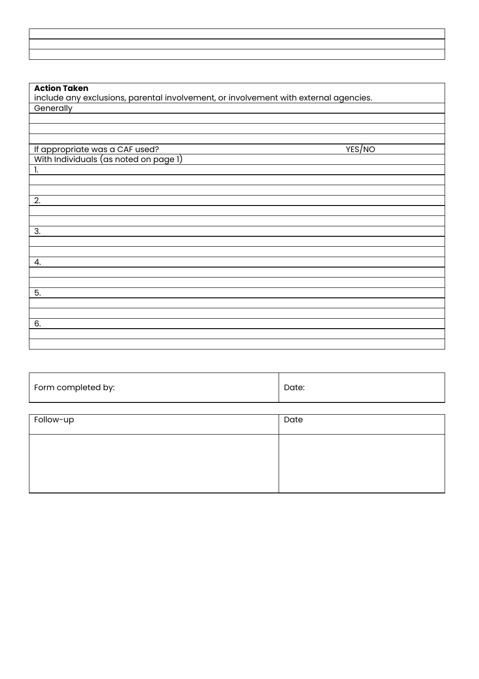#### **Action Taken**

include any exclusions, parental involvement, or involvement with external agencies. **Generally** 

If appropriate was a CAF used? YES And the set of the set of the set of the set of the set of the set of the s With Individuals (as noted on page 1) 1. 2. 3. 4. 5. 6.

| Form completed by: | Date: |
|--------------------|-------|
|--------------------|-------|

| Follow-up | Date |
|-----------|------|
|           |      |
|           |      |
|           |      |